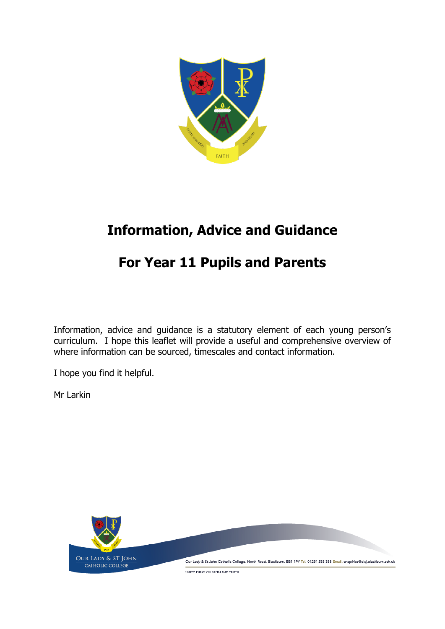

# **Information, Advice and Guidance**

# **For Year 11 Pupils and Parents**

Information, advice and guidance is a statutory element of each young person's curriculum. I hope this leaflet will provide a useful and comprehensive overview of where information can be sourced, timescales and contact information.

I hope you find it helpful.

Mr Larkin

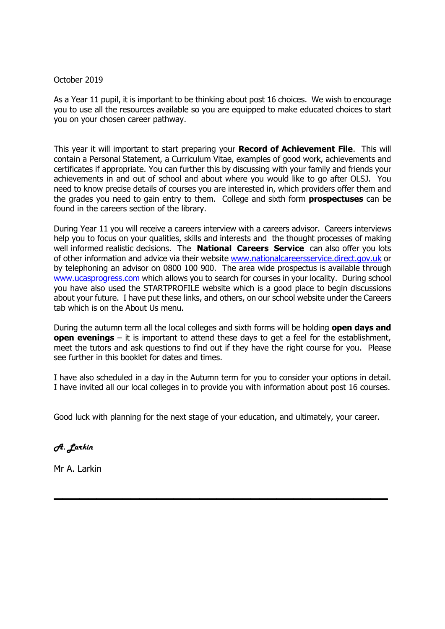#### October 2019

As a Year 11 pupil, it is important to be thinking about post 16 choices. We wish to encourage you to use all the resources available so you are equipped to make educated choices to start you on your chosen career pathway.

This year it will important to start preparing your **Record of Achievement File**. This will contain a Personal Statement, a Curriculum Vitae, examples of good work, achievements and certificates if appropriate. You can further this by discussing with your family and friends your achievements in and out of school and about where you would like to go after OLSJ. You need to know precise details of courses you are interested in, which providers offer them and the grades you need to gain entry to them. College and sixth form **prospectuses** can be found in the careers section of the library.

During Year 11 you will receive a careers interview with a careers advisor. Careers interviews help you to focus on your qualities, skills and interests and the thought processes of making well informed realistic decisions. The **National Careers Service** can also offer you lots of other information and advice via their website [www.nationalcareersservice.direct.gov.uk](http://www.nationalcareersservice.direct.gov.uk/) or by telephoning an advisor on 0800 100 900. The area wide prospectus is available through [www.ucasprogress.com](http://www.ucasprogress.com/) which allows you to search for courses in your locality. During school you have also used the STARTPROFILE website which is a good place to begin discussions about your future. I have put these links, and others, on our school website under the Careers tab which is on the About Us menu.

During the autumn term all the local colleges and sixth forms will be holding **open days and open evenings** – it is important to attend these days to get a feel for the establishment, meet the tutors and ask questions to find out if they have the right course for you. Please see further in this booklet for dates and times.

I have also scheduled in a day in the Autumn term for you to consider your options in detail. I have invited all our local colleges in to provide you with information about post 16 courses.

Good luck with planning for the next stage of your education, and ultimately, your career.

**\_\_\_\_\_\_\_\_\_\_\_\_\_\_\_\_\_\_\_\_\_\_\_\_\_\_\_\_\_\_\_\_\_\_\_\_\_\_\_**

*A. Larkin*

Mr A. Larkin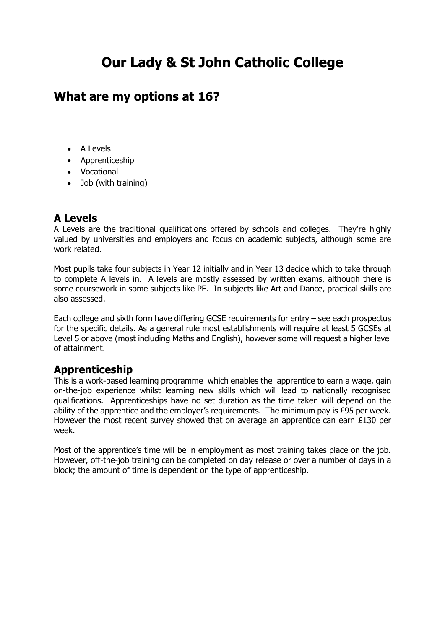# **Our Lady & St John Catholic College**

## **What are my options at 16?**

- A Levels
- Apprenticeship
- Vocational
- Job (with training)

### **A Levels**

A Levels are the traditional qualifications offered by schools and colleges. They're highly valued by universities and employers and focus on academic subjects, although some are work related.

Most pupils take four subjects in Year 12 initially and in Year 13 decide which to take through to complete A levels in. A levels are mostly assessed by written exams, although there is some coursework in some subjects like PE. In subjects like Art and Dance, practical skills are also assessed.

Each college and sixth form have differing GCSE requirements for entry – see each prospectus for the specific details. As a general rule most establishments will require at least 5 GCSEs at Level 5 or above (most including Maths and English), however some will request a higher level of attainment.

### **Apprenticeship**

This is a work-based learning programme which enables the apprentice to earn a wage, gain on-the-job experience whilst learning new skills which will lead to nationally recognised qualifications. Apprenticeships have no set duration as the time taken will depend on the ability of the apprentice and the employer's requirements. The minimum pay is £95 per week. However the most recent survey showed that on average an apprentice can earn £130 per week.

Most of the apprentice's time will be in employment as most training takes place on the job. However, off-the-job training can be completed on day release or over a number of days in a block; the amount of time is dependent on the type of apprenticeship.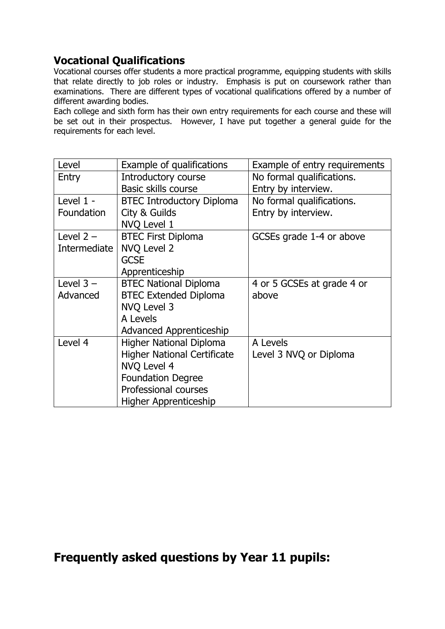### **Vocational Qualifications**

Vocational courses offer students a more practical programme, equipping students with skills that relate directly to job roles or industry. Emphasis is put on coursework rather than examinations. There are different types of vocational qualifications offered by a number of different awarding bodies.

Each college and sixth form has their own entry requirements for each course and these will be set out in their prospectus. However, I have put together a general guide for the requirements for each level.

| Level        | Example of qualifications          | Example of entry requirements |  |
|--------------|------------------------------------|-------------------------------|--|
| Entry        | Introductory course                | No formal qualifications.     |  |
|              | <b>Basic skills course</b>         | Entry by interview.           |  |
| Level 1 -    | <b>BTEC Introductory Diploma</b>   | No formal qualifications.     |  |
| Foundation   | City & Guilds                      | Entry by interview.           |  |
|              | NVQ Level 1                        |                               |  |
| Level $2 -$  | <b>BTEC First Diploma</b>          | GCSEs grade 1-4 or above      |  |
| Intermediate | <b>NVQ Level 2</b>                 |                               |  |
|              | <b>GCSE</b>                        |                               |  |
|              | Apprenticeship                     |                               |  |
| Level $3 -$  | <b>BTEC National Diploma</b>       | 4 or 5 GCSEs at grade 4 or    |  |
| Advanced     | <b>BTEC Extended Diploma</b>       | above                         |  |
|              | <b>NVQ Level 3</b>                 |                               |  |
|              | A Levels                           |                               |  |
|              | <b>Advanced Apprenticeship</b>     |                               |  |
| Level 4      | <b>Higher National Diploma</b>     | A Levels                      |  |
|              | <b>Higher National Certificate</b> | Level 3 NVQ or Diploma        |  |
|              | <b>NVQ Level 4</b>                 |                               |  |
|              | <b>Foundation Degree</b>           |                               |  |
|              | Professional courses               |                               |  |
|              | Higher Apprenticeship              |                               |  |

## **Frequently asked questions by Year 11 pupils:**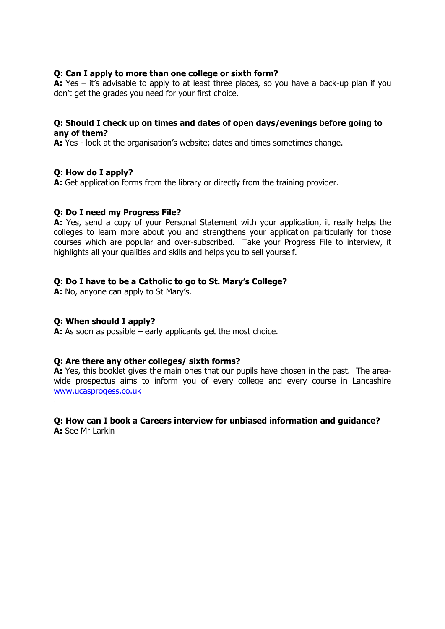#### **Q: Can I apply to more than one college or sixth form?**

**A:** Yes – it's advisable to apply to at least three places, so you have a back-up plan if you don't get the grades you need for your first choice.

#### **Q: Should I check up on times and dates of open days/evenings before going to any of them?**

**A:** Yes - look at the organisation's website; dates and times sometimes change.

#### **Q: How do I apply?**

**A:** Get application forms from the library or directly from the training provider.

#### **Q: Do I need my Progress File?**

**A:** Yes, send a copy of your Personal Statement with your application, it really helps the colleges to learn more about you and strengthens your application particularly for those courses which are popular and over-subscribed. Take your Progress File to interview, it highlights all your qualities and skills and helps you to sell yourself.

#### **Q: Do I have to be a Catholic to go to St. Mary's College?**

**A:** No, anyone can apply to St Mary's.

#### **Q: When should I apply?**

.

**A:** As soon as possible – early applicants get the most choice.

#### **Q: Are there any other colleges/ sixth forms?**

**A:** Yes, this booklet gives the main ones that our pupils have chosen in the past. The areawide prospectus aims to inform you of every college and every course in Lancashire [www.ucasprogess.co.uk](http://www.ucasprogess.co.uk/)

#### **Q: How can I book a Careers interview for unbiased information and guidance? A:** See Mr Larkin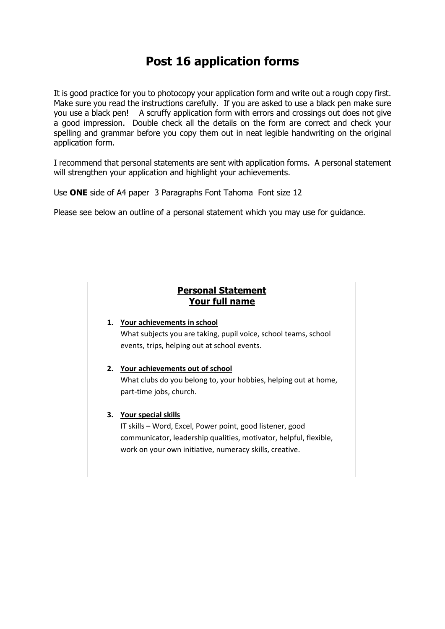# **Post 16 application forms**

It is good practice for you to photocopy your application form and write out a rough copy first. Make sure you read the instructions carefully. If you are asked to use a black pen make sure you use a black pen! A scruffy application form with errors and crossings out does not give a good impression. Double check all the details on the form are correct and check your spelling and grammar before you copy them out in neat legible handwriting on the original application form.

I recommend that personal statements are sent with application forms. A personal statement will strengthen your application and highlight your achievements.

Use **ONE** side of A4 paper 3 Paragraphs Font Tahoma Font size 12

Please see below an outline of a personal statement which you may use for guidance.

### **Personal Statement Personal Statement Your full name**

### **1. Your achievements in school** What subjects you are taking, pupil voice, school teams, school events, trips, helping out at school events.

#### **2. Your achievements out of school**

What clubs do you belong to, your hobbies, helping out at home, part-time jobs, church.

#### **3. Your special skills**

IT skills – Word, Excel, Power point, good listener, good communicator, leadership qualities, motivator, helpful, flexible, work on your own initiative, numeracy skills, creative.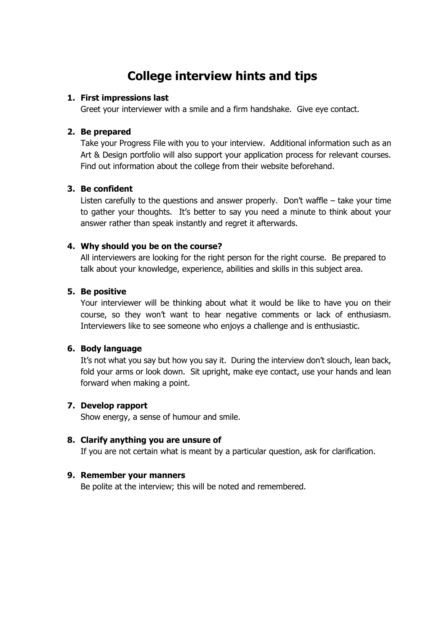# **College interview hints and tips**

#### **1. First impressions last**

Greet your interviewer with a smile and a firm handshake. Give eye contact.

#### **2. Be prepared**

Take your Progress File with you to your interview. Additional information such as an Art & Design portfolio will also support your application process for relevant courses. Find out information about the college from their website beforehand.

#### **3. Be confident**

Listen carefully to the questions and answer properly. Don't waffle – take your time to gather your thoughts. It's better to say you need a minute to think about your answer rather than speak instantly and regret it afterwards.

#### **4. Why should you be on the course?**

All interviewers are looking for the right person for the right course. Be prepared to talk about your knowledge, experience, abilities and skills in this subject area.

#### **5. Be positive**

Your interviewer will be thinking about what it would be like to have you on their course, so they won't want to hear negative comments or lack of enthusiasm. Interviewers like to see someone who enjoys a challenge and is enthusiastic.

#### **6. Body language**

It's not what you say but how you say it. During the interview don't slouch, lean back, fold your arms or look down. Sit upright, make eye contact, use your hands and lean forward when making a point.

#### **7. Develop rapport**

Show energy, a sense of humour and smile.

#### **8. Clarify anything you are unsure of**

If you are not certain what is meant by a particular question, ask for clarification.

#### **9. Remember your manners**

Be polite at the interview; this will be noted and remembered.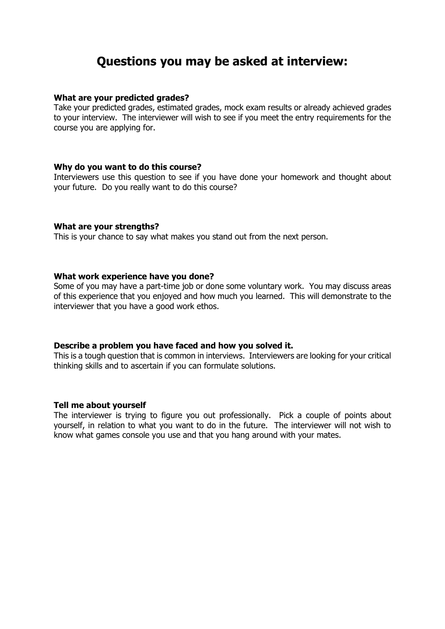## **Questions you may be asked at interview:**

#### **What are your predicted grades?**

Take your predicted grades, estimated grades, mock exam results or already achieved grades to your interview. The interviewer will wish to see if you meet the entry requirements for the course you are applying for.

#### **Why do you want to do this course?**

Interviewers use this question to see if you have done your homework and thought about your future. Do you really want to do this course?

#### **What are your strengths?**

This is your chance to say what makes you stand out from the next person.

#### **What work experience have you done?**

Some of you may have a part-time job or done some voluntary work. You may discuss areas of this experience that you enjoyed and how much you learned. This will demonstrate to the interviewer that you have a good work ethos.

#### **Describe a problem you have faced and how you solved it.**

This is a tough question that is common in interviews. Interviewers are looking for your critical thinking skills and to ascertain if you can formulate solutions.

#### **Tell me about yourself**

The interviewer is trying to figure you out professionally. Pick a couple of points about yourself, in relation to what you want to do in the future. The interviewer will not wish to know what games console you use and that you hang around with your mates.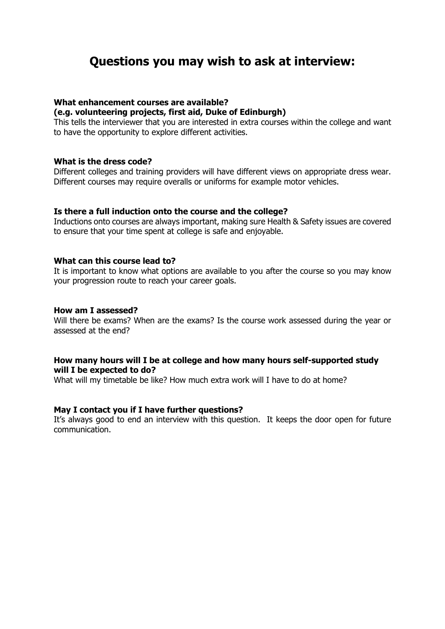## **Questions you may wish to ask at interview:**

#### **What enhancement courses are available?**

#### **(e.g. volunteering projects, first aid, Duke of Edinburgh)**

This tells the interviewer that you are interested in extra courses within the college and want to have the opportunity to explore different activities.

#### **What is the dress code?**

Different colleges and training providers will have different views on appropriate dress wear. Different courses may require overalls or uniforms for example motor vehicles.

#### **Is there a full induction onto the course and the college?**

Inductions onto courses are always important, making sure Health & Safety issues are covered to ensure that your time spent at college is safe and enjoyable.

#### **What can this course lead to?**

It is important to know what options are available to you after the course so you may know your progression route to reach your career goals.

#### **How am I assessed?**

Will there be exams? When are the exams? Is the course work assessed during the year or assessed at the end?

#### **How many hours will I be at college and how many hours self-supported study will I be expected to do?**

What will my timetable be like? How much extra work will I have to do at home?

#### **May I contact you if I have further questions?**

It's always good to end an interview with this question. It keeps the door open for future communication.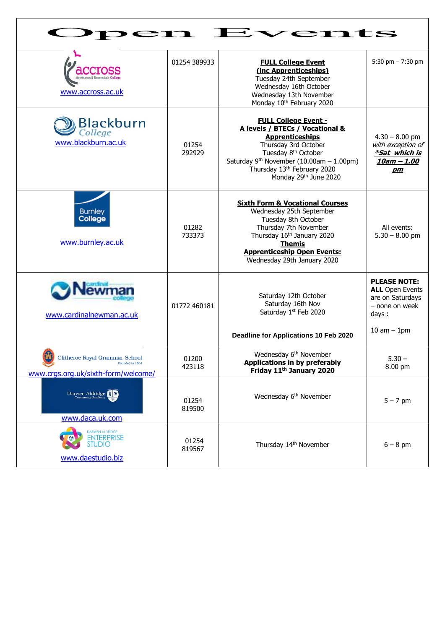| <i>r</i> ents<br>$\mathbf{r}$                                                                   |                 |                                                                                                                                                                                                                                                                        |                                                                                                                 |  |  |  |
|-------------------------------------------------------------------------------------------------|-----------------|------------------------------------------------------------------------------------------------------------------------------------------------------------------------------------------------------------------------------------------------------------------------|-----------------------------------------------------------------------------------------------------------------|--|--|--|
| <b>CIOSS</b><br>Accrington & Rossendale Col<br>www.accross.ac.uk                                | 01254 389933    | <b>FULL College Event</b><br>(inc Apprenticeships)<br>Tuesday 24th September<br>Wednesday 16th October<br>Wednesday 13th November<br>Monday 10th February 2020                                                                                                         | 5:30 pm $- 7:30$ pm                                                                                             |  |  |  |
| <b>Blackburn</b><br>www.blackburn.ac.uk                                                         | 01254<br>292929 | <b>FULL College Event -</b><br>A levels / BTECs / Vocational &<br><b>Apprenticeships</b><br>Thursday 3rd October<br>Tuesday 8 <sup>th</sup> October<br>Saturday 9 <sup>th</sup> November (10.00am $- 1.00$ pm)<br>Thursday 13th February 2020<br>Monday 29th June 2020 | $4.30 - 8.00$ pm<br>with exception of<br><i>*Sat which is</i><br><u> 10am – 1.00</u><br>pm                      |  |  |  |
| <b>Burnley</b><br>College<br>www.burnley.ac.uk                                                  | 01282<br>733373 | <b>Sixth Form &amp; Vocational Courses</b><br>Wednesday 25th September<br>Tuesday 8th October<br>Thursday 7th November<br>Thursday 16th January 2020<br><b>Themis</b><br><b>Apprenticeship Open Events:</b><br>Wednesday 29th January 2020                             | All events:<br>$5.30 - 8.00$ pm                                                                                 |  |  |  |
| www.cardinalnewman.ac.uk                                                                        | 01772 460181    | Saturday 12th October<br>Saturday 16th Nov<br>Saturday 1st Feb 2020<br>Deadline for Applications 10 Feb 2020                                                                                                                                                           | <b>PLEASE NOTE:</b><br><b>ALL</b> Open Events<br>are on Saturdays<br>- none on week<br>days:<br>$10$ am $-1$ pm |  |  |  |
| <b>Clitheroe Royal Grammar School</b><br>Founded in 1554<br>www.crgs.org.uk/sixth-form/welcome/ | 01200<br>423118 | Wednesday 6 <sup>th</sup> November<br><b>Applications in by preferably</b><br>Friday 11 <sup>th</sup> January 2020                                                                                                                                                     | $5.30 -$<br>8.00 pm                                                                                             |  |  |  |
| Darwen Aldridge<br>www.daca.uk.com                                                              | 01254<br>819500 | Wednesday 6 <sup>th</sup> November                                                                                                                                                                                                                                     | $5 - 7$ pm                                                                                                      |  |  |  |
| <b>DARWEN ALDRIDGE</b><br><b>ENTERPRISE</b><br><b>STUDIO</b><br>www.daestudio.biz               | 01254<br>819567 | Thursday 14th November                                                                                                                                                                                                                                                 | $6 - 8$ pm                                                                                                      |  |  |  |